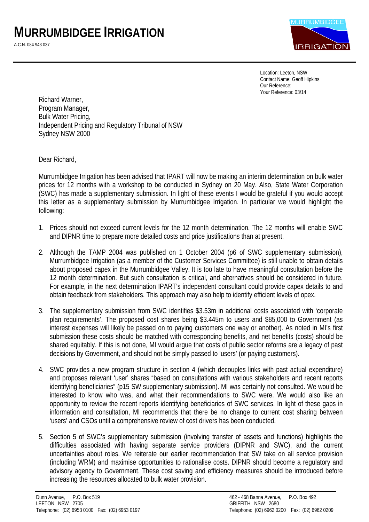

Location: Leeton, NSW Contact Name: Geoff Hipkins Our Reference: Your Reference: 03/14

Richard Warner, Program Manager, Bulk Water Pricing, Independent Pricing and Regulatory Tribunal of NSW Sydney NSW 2000

Dear Richard,

Murrumbidgee Irrigation has been advised that IPART will now be making an interim determination on bulk water prices for 12 months with a workshop to be conducted in Sydney on 20 May. Also, State Water Corporation (SWC) has made a supplementary submission. In light of these events I would be grateful if you would accept this letter as a supplementary submission by Murrumbidgee Irrigation. In particular we would highlight the following:

- 1. Prices should not exceed current levels for the 12 month determination. The 12 months will enable SWC and DIPNR time to prepare more detailed costs and price justifications than at present.
- 2. Although the TAMP 2004 was published on 1 October 2004 (p6 of SWC supplementary submission), Murrumbidgee Irrigation (as a member of the Customer Services Committee) is still unable to obtain details about proposed capex in the Murrumbidgee Valley. It is too late to have meaningful consultation before the 12 month determination. But such consultation is critical, and alternatives should be considered in future. For example, in the next determination IPART's independent consultant could provide capex details to and obtain feedback from stakeholders. This approach may also help to identify efficient levels of opex.
- 3. The supplementary submission from SWC identifies \$3.53m in additional costs associated with 'corporate plan requirements'. The proposed cost shares being \$3.445m to users and \$85,000 to Government (as interest expenses will likely be passed on to paying customers one way or another). As noted in MI's first submission these costs should be matched with corresponding benefits, and net benefits (costs) should be shared equitably. If this is not done, MI would argue that costs of public sector reforms are a legacy of past decisions by Government, and should not be simply passed to 'users' (or paying customers).
- 4. SWC provides a new program structure in section 4 (which decouples links with past actual expenditure) and proposes relevant 'user' shares "based on consultations with various stakeholders and recent reports identifying beneficiaries" (p15 SW supplementary submission). MI was certainly not consulted. We would be interested to know who was, and what their recommendations to SWC were. We would also like an opportunity to review the recent reports identifying beneficiaries of SWC services. In light of these gaps in information and consultation, MI recommends that there be no change to current cost sharing between 'users' and CSOs until a comprehensive review of cost drivers has been conducted.
- 5. Section 5 of SWC's supplementary submission (involving transfer of assets and functions) highlights the difficulties associated with having separate service providers (DIPNR and SWC), and the current uncertainties about roles. We reiterate our earlier recommendation that SW take on all service provision (including WRM) and maximise opportunities to rationalise costs. DIPNR should become a regulatory and advisory agency to Government. These cost saving and efficiency measures should be introduced before increasing the resources allocated to bulk water provision.